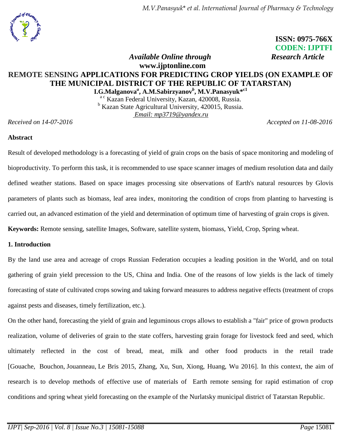*M.V.Panasyuk*\* *et al. International Journal of Pharmacy & Technology*

 **ISSN: 0975-766X CODEN: IJPTFI** *<i>Available Online through* Research Article

# **www.ijptonline.com REMOTE SENSING APPLICATIONS FOR PREDICTING CROP YIELDS (ON EXAMPLE OF THE MUNICIPAL DISTRICT OF THE REPUBLIC OF TATARSTAN)**

**I.G.Malganova***<sup>a</sup>* **, A.M.Sabirzyanov***<sup>b</sup>* **, M.V.Panasyuk\* c1** ac Kazan Federal University, Kazan, 420008, Russia. <sup>b</sup> Kazan State Agricultural University, 420015, Russia. *Email: mp3719@yandex.ru*

*Received on 14-07-2016 Accepted on 11-08-2016*

# **Abstract**

Result of developed methodology is a forecasting of yield of grain crops on the basis of space monitoring and modeling of bioproductivity. To perform this task, it is recommended to use space scanner images of medium resolution data and daily defined weather stations. Based on space images processing site observations of Earth's natural resources by Glovis parameters of plants such as biomass, leaf area index, monitoring the condition of crops from planting to harvesting is carried out, an advanced estimation of the yield and determination of optimum time of harvesting of grain crops is given. **Keywords:** Remote sensing, satellite Images, Software, satellite system, biomass, Yield, Crop, Spring wheat.

### **1. Introduction**

By the land use area and acreage of crops Russian Federation occupies a leading position in the World, and on total gathering of grain yield precession to the US, China and India. One of the reasons of low yields is the lack of timely forecasting of state of cultivated crops sowing and taking forward measures to address negative effects (treatment of crops against pests and diseases, timely fertilization, etc.).

On the other hand, forecasting the yield of grain and leguminous crops allows to establish a "fair" price of grown products realization, volume of deliveries of grain to the state coffers, harvesting grain forage for livestock feed and seed, which ultimately reflected in the cost of bread, meat, milk and other food products in the retail trade [Gouache, [Bouchon,](http://www.scopus.com/authid/detail.uri?authorId=56652535400&eid=2-s2.0-84929660148) [Jouanneau,](http://www.scopus.com/authid/detail.uri?authorId=56652558000&eid=2-s2.0-84929660148) [Le Bris](http://www.scopus.com/authid/detail.uri?authorId=6504221490&eid=2-s2.0-84929660148) 2015, Zhang, Xu, Sun, Xiong, Huang, Wu 2016]. In this context, the aim of research is to develop methods of effective use of materials of Earth remote sensing for rapid estimation of crop conditions and spring wheat yield forecasting on the example of the Nurlatsky municipal district of Tatarstan Republic.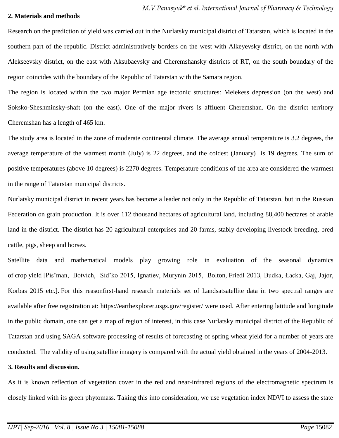#### **2. Materials and methods**

Research on the prediction of yield was carried out in the Nurlatsky municipal district of Tatarstan, which is located in the southern part of the republic. District administratively borders on the west with Alkeyevsky district, on the north with Alekseevsky district, on the east with Aksubaevsky and Cheremshansky districts of RT, on the south boundary of the region coincides with the boundary of the Republic of Tatarstan with the Samara region.

The region is located within the two major Permian age tectonic structures: Melekess depression (on the west) and Soksko-Sheshminsky-shaft (on the east). One of the major rivers is affluent Cheremshan. On the district territory Cheremshan has a length of 465 km.

The study area is located in the zone of moderate continental climate. The average annual temperature is 3.2 degrees, the average temperature of the warmest month (July) is 22 degrees, and the coldest (January) is 19 degrees. The sum of positive temperatures (above 10 degrees) is 2270 degrees. Temperature conditions of the area are considered the warmest in the range of Tatarstan municipal districts.

Nurlatsky municipal district in recent years has become a leader not only in the Republic of Tatarstan, but in the Russian Federation on grain production. It is over 112 thousand hectares of agricultural land, including 88,400 hectares of arable land in the district. The district has 20 agricultural enterprises and 20 farms, stably developing livestock breeding, bred cattle, pigs, sheep and horses.

Satellite data and mathematical models play growing role in evaluation of the seasonal dynamics of crop yield [Pis'man, Botvich, Sid'ko 2015, Ignatiev, Murynin 2015, Bolton, Friedl 2013, Budka, Łacka, Gaj, Jajor, Korbas 2015 etc.]. For this reasonfirst-hand research materials set of Landsatsatellite data in two spectral ranges are available after free registration at: https://earthexplorer.usgs.gov/register/ were used. After entering latitude and longitude in the public domain, one can get a map of region of interest, in this case Nurlatsky municipal district of the Republic of Tatarstan and using SAGA software processing of results of forecasting of spring wheat yield for a number of years are conducted. The validity of using satellite imagery is compared with the actual yield obtained in the years of 2004-2013.

### **3. Results and discussion.**

As it is known reflection of vegetation cover in the red and near-infrared regions of the electromagnetic spectrum is closely linked with its green phytomass. Taking this into consideration, we use vegetation index NDVI to assess the state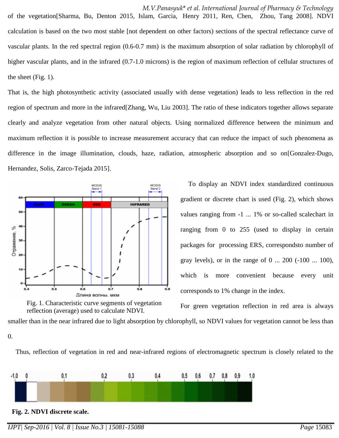*M.V.Panasyuk*\* *et al. International Journal of Pharmacy & Technology* of the vegetation[Sharma, Bu, Denton 2015, Islam, Garcia, Henry 2011, Ren, Chen, Zhou, Tang 2008]. NDVI calculation is based on the two most stable [not dependent on other factors) sections of the spectral reflectance curve of vascular plants. In the red spectral region (0.6-0.7 mm) is the maximum absorption of solar radiation by chlorophyll of higher vascular plants, and in the infrared (0.7-1.0 microns) is the region of maximum reflection of cellular structures of the sheet (Fig. 1).

That is, the high photosynthetic activity (associated usually with dense vegetation) leads to less reflection in the red region of spectrum and more in the infrared[Zhang, Wu, Liu 2003]. The ratio of these indicators together allows separate clearly and analyze vegetation from other natural objects. Using normalized difference between the minimum and maximum reflection it is possible to increase measurement accuracy that can reduce the impact of such phenomena as difference in the image illumination, clouds, haze, radiation, atmospheric absorption and so on[Gonzalez-Dugo, Hernandez, Solis, Zarco-Tejada 2015].





To display an NDVI index standardized continuous gradient or discrete chart is used (Fig. 2), which shows values ranging from -1 ... 1% or so-called scalechart in ranging from 0 to 255 (used to display in certain packages for processing ERS, correspondsto number of gray levels), or in the range of 0 ... 200 (-100 ... 100), which is more convenient because every unit corresponds to 1% change in the index.

For green vegetation reflection in red area is always

smaller than in the near infrared due to light absorption by chlorophyll, so NDVI values for vegetation cannot be less than 0.

Thus, reflection of vegetation in red and near-infrared regions of electromagnetic spectrum is closely related to the



*IJPT| Sep-2016 | Vol. 8 | Issue No.3 | 15081-15088 Page* 15083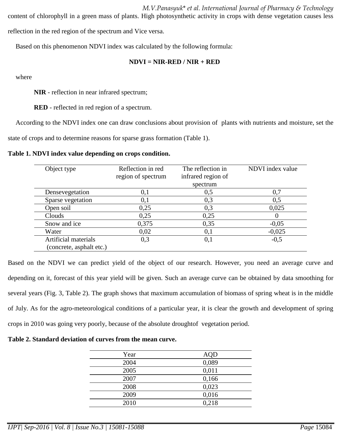*M.V.Panasyuk*\* *et al. International Journal of Pharmacy & Technology* content of chlorophyll in a green mass of plants. High photosynthetic activity in crops with dense vegetation causes less reflection in the red region of the spectrum and Vice versa.

Based on this phenomenon NDVI index was calculated by the following formula:

### **NDVI = NIR-RED / NIR + RED**

where

**NIR** - reflection in near infrared spectrum;

**RED** - reflected in red region of a spectrum.

According to the NDVI index one can draw conclusions about provision of plants with nutrients and moisture, set the

state of crops and to determine reasons for sparse grass formation (Table 1).

#### **Table 1. NDVI index value depending on crops condition.**

| Object type              | Reflection in red  | The reflection in  | NDVI index value |
|--------------------------|--------------------|--------------------|------------------|
|                          | region of spectrum | infrared region of |                  |
|                          |                    | spectrum           |                  |
| Densevegetation          | 0,1                | 0,5                | 0,7              |
| Sparse vegetation        | 0,1                | 0,3                | 0,5              |
| Open soil                | 0,25               | 0,3                | 0,025            |
| Clouds                   | 0.25               | 0,25               |                  |
| Snow and ice             | 0,375              | 0,35               | $-0.05$          |
| Water                    | 0,02               | 0,1                | $-0,025$         |
| Artificial materials     | 0,3                | 0,1                | $-0,5$           |
| (concrete, asphalt etc.) |                    |                    |                  |

Based on the NDVI we can predict yield of the object of our research. However, you need an average curve and depending on it, forecast of this year yield will be given. Such an average curve can be obtained by data smoothing for several years (Fig. 3, Table 2). The graph shows that maximum accumulation of biomass of spring wheat is in the middle of July. As for the agro-meteorological conditions of a particular year, it is clear the growth and development of spring crops in 2010 was going very poorly, because of the absolute droughtof vegetation period.

**Table 2. Standard deviation of curves from the mean curve.**

| Year | <b>AQD</b> |
|------|------------|
| 2004 | 0,089      |
| 2005 | 0,011      |
| 2007 | 0,166      |
| 2008 | 0,023      |
| 2009 | 0,016      |
| 2010 | 0,218      |
|      |            |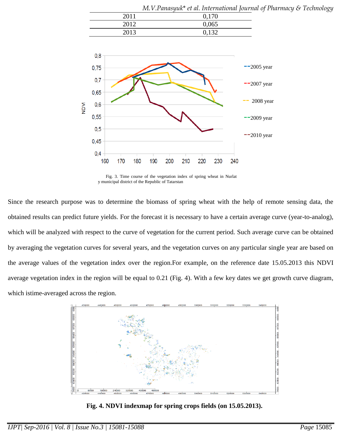|      | <u>IVI. V.I UNUSYUN ELUL. INIEHULUNU JOUHL</u> |
|------|------------------------------------------------|
| 2011 | 0,170                                          |
| 2012 | 0,065                                          |
| 2013 | 0,132                                          |



Fig. 3. Time course of the vegetation index of spring wheat in Nurlat y municipal district of the Republic of Tatarstan

Since the research purpose was to determine the biomass of spring wheat with the help of remote sensing data, the obtained results can predict future yields. For the forecast it is necessary to have a certain average curve (year-to-analog), which will be analyzed with respect to the curve of vegetation for the current period. Such average curve can be obtained by averaging the vegetation curves for several years, and the vegetation curves on any particular single year are based on the average values of the vegetation index over the region.For example, on the reference date 15.05.2013 this NDVI average vegetation index in the region will be equal to 0.21 (Fig. 4). With a few key dates we get growth curve diagram, which istime-averaged across the region.



**Fig. 4. NDVI indexmap for spring crops fields (on 15.05.2013).**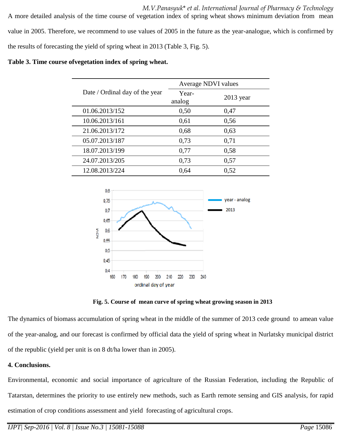*M.V.Panasyuk*\* *et al. International Journal of Pharmacy & Technology* A more detailed analysis of the time course of vegetation index of spring wheat shows minimum deviation from mean value in 2005. Therefore, we recommend to use values of 2005 in the future as the year-analogue, which is confirmed by the results of forecasting the yield of spring wheat in 2013 (Table 3, Fig. 5).

### **Table 3. Time course ofvegetation index of spring wheat.**

|                                | Average NDVI values |             |
|--------------------------------|---------------------|-------------|
| Date / Ordinal day of the year | Year-<br>analog     | $2013$ year |
| 01.06.2013/152                 | 0,50                | 0,47        |
| 10.06.2013/161                 | 0,61                | 0,56        |
| 21.06.2013/172                 | 0,68                | 0,63        |
| 05.07.2013/187                 | 0,73                | 0,71        |
| 18.07.2013/199                 | 0,77                | 0,58        |
| 24.07.2013/205                 | 0,73                | 0,57        |
| 12.08.2013/224                 | 0,64                | 0,52        |



**Fig. 5. Course of mean curve of spring wheat growing season in 2013**

The dynamics of biomass accumulation of spring wheat in the middle of the summer of 2013 cede ground to amean value of the year-analog, and our forecast is confirmed by official data the yield of spring wheat in Nurlatsky municipal district of the republic (yield per unit is on 8 dt/ha lower than in 2005).

# **4. Conclusions.**

Environmental, economic and social importance of agriculture of the Russian Federation, including the Republic of Tatarstan, determines the priority to use entirely new methods, such as Earth remote sensing and GIS analysis, for rapid estimation of crop conditions assessment and yield forecasting of agricultural crops.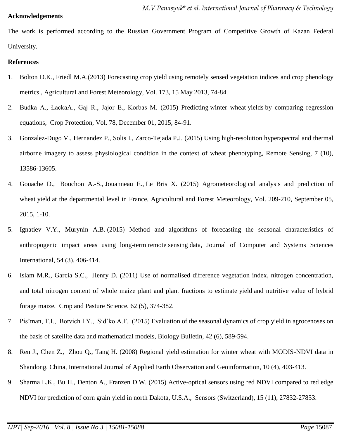## **Acknowledgements**

The work is performed according to the Russian Government Program of Competitive Growth of Kazan Federal University.

# **References**

- 1. Bolton D.K., Friedl M.A.(2013) Forecasting crop yield using remotely sensed vegetation indices and crop phenology metrics , Agricultural and Forest Meteorology, Vol. 173, 15 May 2013, 74-84.
- 2. Budka A., ŁackaA., Gaj R., Jajor E., Korbas M. (2015) Predicting winter wheat yields by comparing regression equations, Crop Protection, Vol. 78, December 01, 2015, 84-91.
- 3. Gonzalez-Dugo V., Hernandez P., Solis I., Zarco-Tejada P.J. (2015) Using high-resolution hyperspectral and thermal airborne imagery to assess physiological condition in the context of wheat phenotyping, Remote Sensing, 7 (10), 13586-13605.
- 4. Gouache D., [Bouchon A.-S.,](http://www.scopus.com/authid/detail.uri?authorId=56652535400&eid=2-s2.0-84929660148) [Jouanneau E.,](http://www.scopus.com/authid/detail.uri?authorId=56652558000&eid=2-s2.0-84929660148) [Le Bris X.](http://www.scopus.com/authid/detail.uri?authorId=6504221490&eid=2-s2.0-84929660148) (2015) Agrometeorological analysis and prediction of wheat yield at the departmental level in France, Agricultural and Forest Meteorology, Vol. 209-210, September 05, 2015, 1-10.
- 5. Ignatiev V.Y., Murynin A.B. (2015) Method and algorithms of forecasting the seasonal characteristics of anthropogenic impact areas using long-term remote sensing data, Journal of Computer and Systems Sciences International, 54 (3), 406-414.
- 6. Islam M.R., Garcia S.C., Henry D. (2011) Use of normalised difference vegetation index, nitrogen concentration, and total nitrogen content of whole maize plant and plant fractions to estimate yield and nutritive value of hybrid forage maize, Crop and Pasture Science, 62 (5), 374-382.
- 7. Pis'man, T.I., Botvich I.Y., Sid'ko A.F. (2015) Evaluation of the seasonal dynamics of crop yield in agrocenoses on the basis of satellite data and mathematical models, Biology Bulletin, 42 (6), 589-594.
- 8. Ren J., Chen Z., Zhou Q., Tang H. (2008) Regional yield estimation for winter wheat with MODIS-NDVI data in Shandong, China, International Journal of Applied Earth Observation and Geoinformation, 10 (4), 403-413.
- 9. Sharma L.K., Bu H., Denton A., Franzen D.W. (2015) Active-optical sensors using red NDVI compared to red edge NDVI for prediction of corn grain yield in north Dakota, U.S.A., Sensors (Switzerland), 15 (11), 27832-27853.